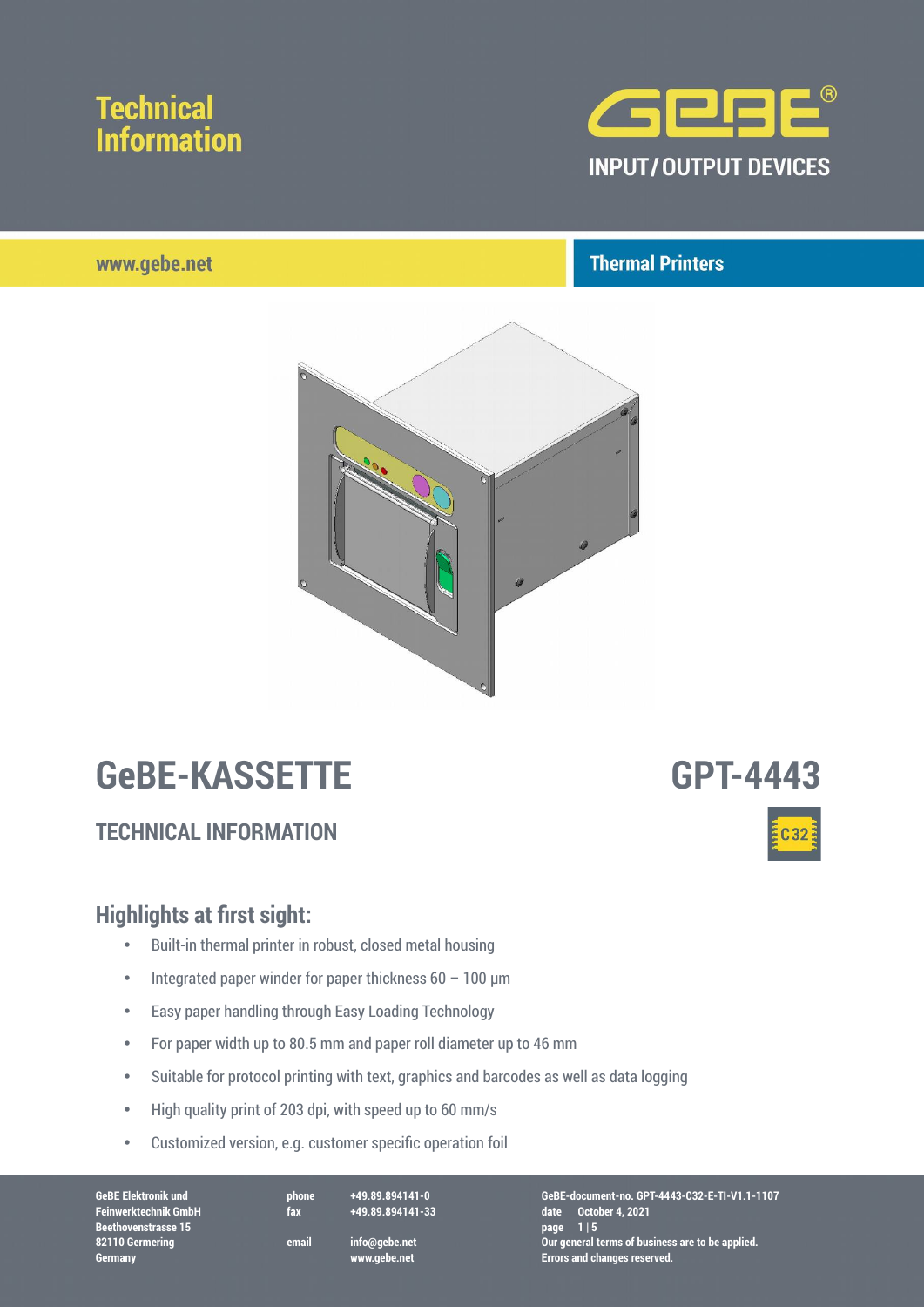

### www.aebe.net

## **Thermal Printers**



# **GeBE-KASSETTE GPT-4443**

## **TECHNICAL INFORMATION**

### **Highlights at first sight:**

- Built-in thermal printer in robust, closed metal housing
- Integrated paper winder for paper thickness  $60 100$  µm
- Easy paper handling through Easy Loading Technology
- For paper width up to 80.5 mm and paper roll diameter up to 46 mm
- Suitable for protocol printing with text, graphics and barcodes as well as data logging
- High quality print of 203 dpi, with speed up to 60 mm/s
- Customized version, e.g. customer specific operation foil

**Feinwerktechnik GmbH fax +49.89.894141-33 date October 4, 2021 Feinwerktechnik GmbH**<br>Beethovenstrasse 15 **Germany www.gebe.net Errors and changes reserved.**

**GeBE Elektronik und phone +49.89.894141-0 GeBE-document-no. GPT-4443-C32-E-TI-V1.1-1107 82110 Germering email info@gebe.net Our general terms of business are to be applied.**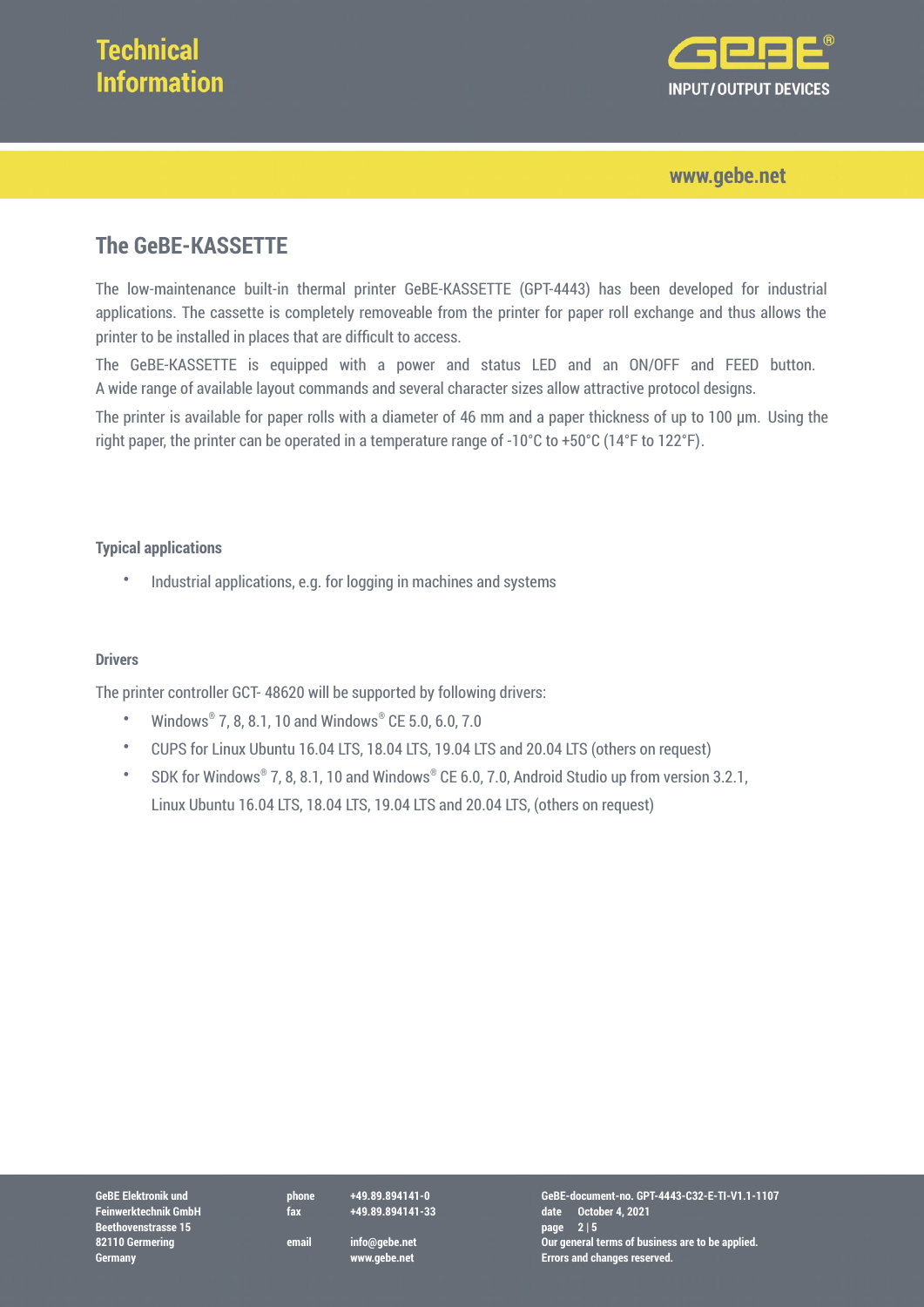

www.gebe.net

## **The GeBE-KASSETTE**

The low-maintenance built-in thermal printer GeBE-KASSETTE (GPT-4443) has been developed for industrial applications. The cassette is completely removeable from the printer for paper roll exchange and thus allows the printer to be installed in places that are difficult to access.

The GeBE-KASSETTE is equipped with a power and status LED and an ON/OFF and FEED button. A wide range of available layout commands and several character sizes allow attractive protocol designs.

The printer is available for paper rolls with a diameter of 46 mm and a paper thickness of up to 100 µm. Using the right paper, the printer can be operated in a temperature range of -10°C to +50°C (14°F to 122°F).

### **Typical applications**

• Industrial applications, e.g. for logging in machines and systems

### **Drivers**

The printer controller GCT- 48620 will be supported by following drivers:

- Windows® 7, 8, 8.1, 10 and Windows® CE 5.0, 6.0, 7.0
- CUPS for Linux Ubuntu 16.04 LTS, 18.04 LTS, 19.04 LTS and 20.04 LTS (others on request)
- SDK for Windows® 7, 8, 8.1, 10 and Windows® CE 6.0, 7.0, Android Studio up from version 3.2.1, Linux Ubuntu 16.04 LTS, 18.04 LTS, 19.04 LTS and 20.04 LTS, (others on request)

**Feinwerktechnik GmbH**<br>Beethovenstrasse 15

**GeBE Elektronik und phone +49.89.894141-0 GeBE-document-no. GPT-4443-C32-E-TI-V1.1-1107 Feinwerktechnik GmbH fax +49.89.894141-33 date October 4, 2021 82110 Germering email info@gebe.net Our general terms of business are to be applied. Germany www.gebe.net Errors and changes reserved.**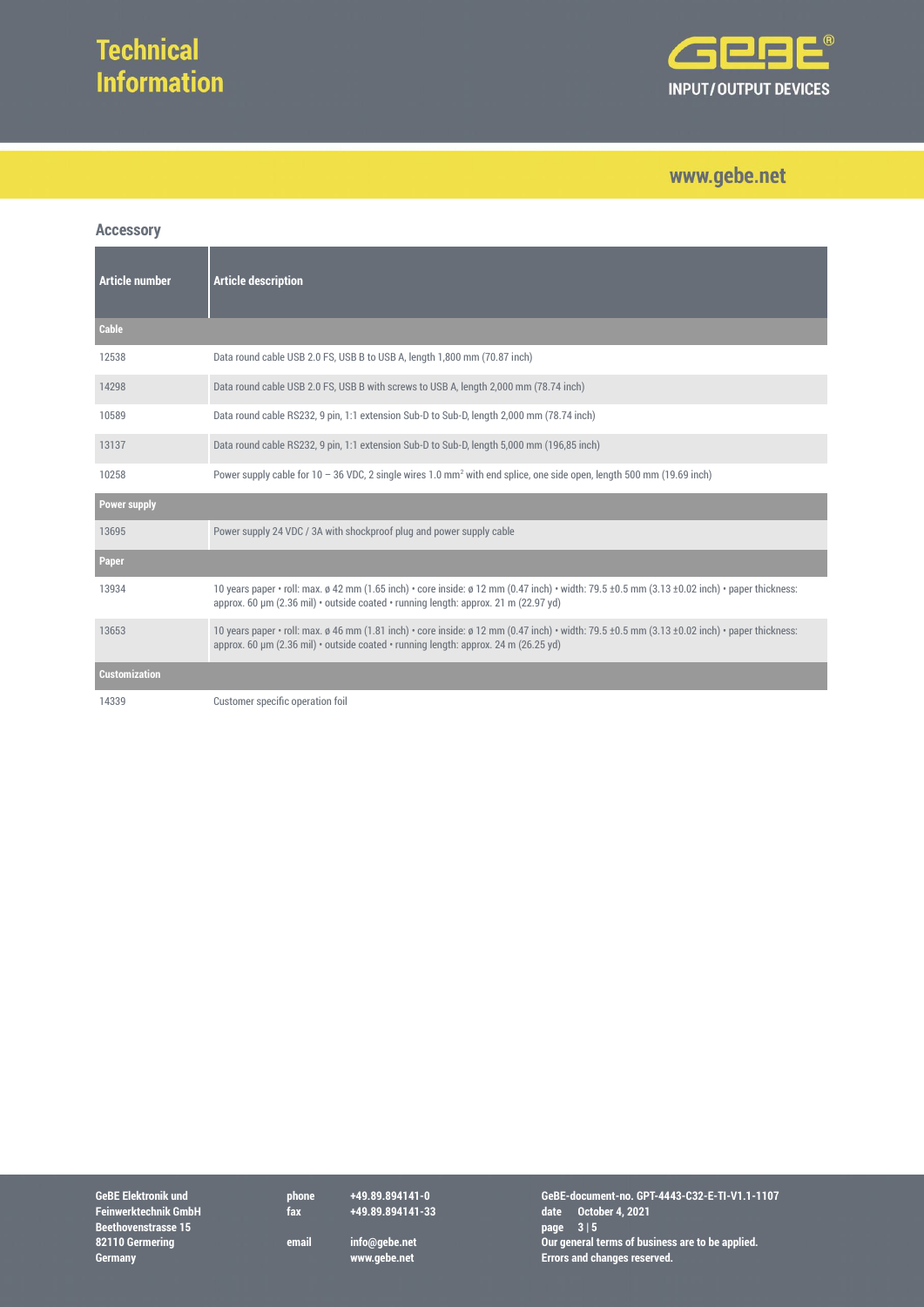

## www.gebe.net

### **Accessory**

| Article number       | <b>Article description</b>                                                                                                                                                                                                           |
|----------------------|--------------------------------------------------------------------------------------------------------------------------------------------------------------------------------------------------------------------------------------|
| <b>Cable</b>         |                                                                                                                                                                                                                                      |
| 12538                | Data round cable USB 2.0 FS, USB B to USB A, length 1,800 mm (70.87 inch)                                                                                                                                                            |
| 14298                | Data round cable USB 2.0 FS, USB B with screws to USB A, length 2,000 mm (78.74 inch)                                                                                                                                                |
| 10589                | Data round cable RS232, 9 pin, 1:1 extension Sub-D to Sub-D, length 2,000 mm (78.74 inch)                                                                                                                                            |
| 13137                | Data round cable RS232, 9 pin, 1:1 extension Sub-D to Sub-D, length 5,000 mm (196,85 inch)                                                                                                                                           |
| 10258                | Power supply cable for $10 - 36$ VDC, 2 single wires 1.0 mm <sup>2</sup> with end splice, one side open, length 500 mm (19.69 inch)                                                                                                  |
| <b>Power supply</b>  |                                                                                                                                                                                                                                      |
| 13695                | Power supply 24 VDC / 3A with shockproof plug and power supply cable                                                                                                                                                                 |
| Paper                |                                                                                                                                                                                                                                      |
| 13934                | 10 years paper • roll: max. ø 42 mm (1.65 inch) • core inside: ø 12 mm (0.47 inch) • width: 79.5 ±0.5 mm (3.13 ±0.02 inch) • paper thickness:<br>approx. 60 µm (2.36 mil) • outside coated • running length: approx. 21 m (22.97 yd) |
| 13653                | 10 years paper • roll: max. ø 46 mm (1.81 inch) • core inside: ø 12 mm (0.47 inch) • width: 79.5 ±0.5 mm (3.13 ±0.02 inch) • paper thickness:<br>approx. 60 µm (2.36 mil) · outside coated · running length: approx. 24 m (26.25 yd) |
| <b>Customization</b> |                                                                                                                                                                                                                                      |
| 14339                | Customer specific operation foil                                                                                                                                                                                                     |

GeBE Elektronik und<br>
Feinwerktechnik GmbH<br>
Beethovenstrasse 15<br>
82110 Germering<br>
Germany<br>
Beethovenstrasse 15<br>
32110 Germering<br>
Beethovenstrasse 15<br>
Sermany<br>
Beethovenstrasse 15<br>
amail info@gebe.net<br>
Www.gebe.net<br>
Www.gebe

**GeBE Elektronik und phone +49.89.894141-0 GeBE-document-no. GPT-4443-C32-E-TI-V1.1-1107 Feinwerktechnik GmbH fax +49.89.894141-33 date October 4, 2021 82110 Germering email info@gebe.net Our general terms of business are to be applied. Germany www.gebe.net Errors and changes reserved.**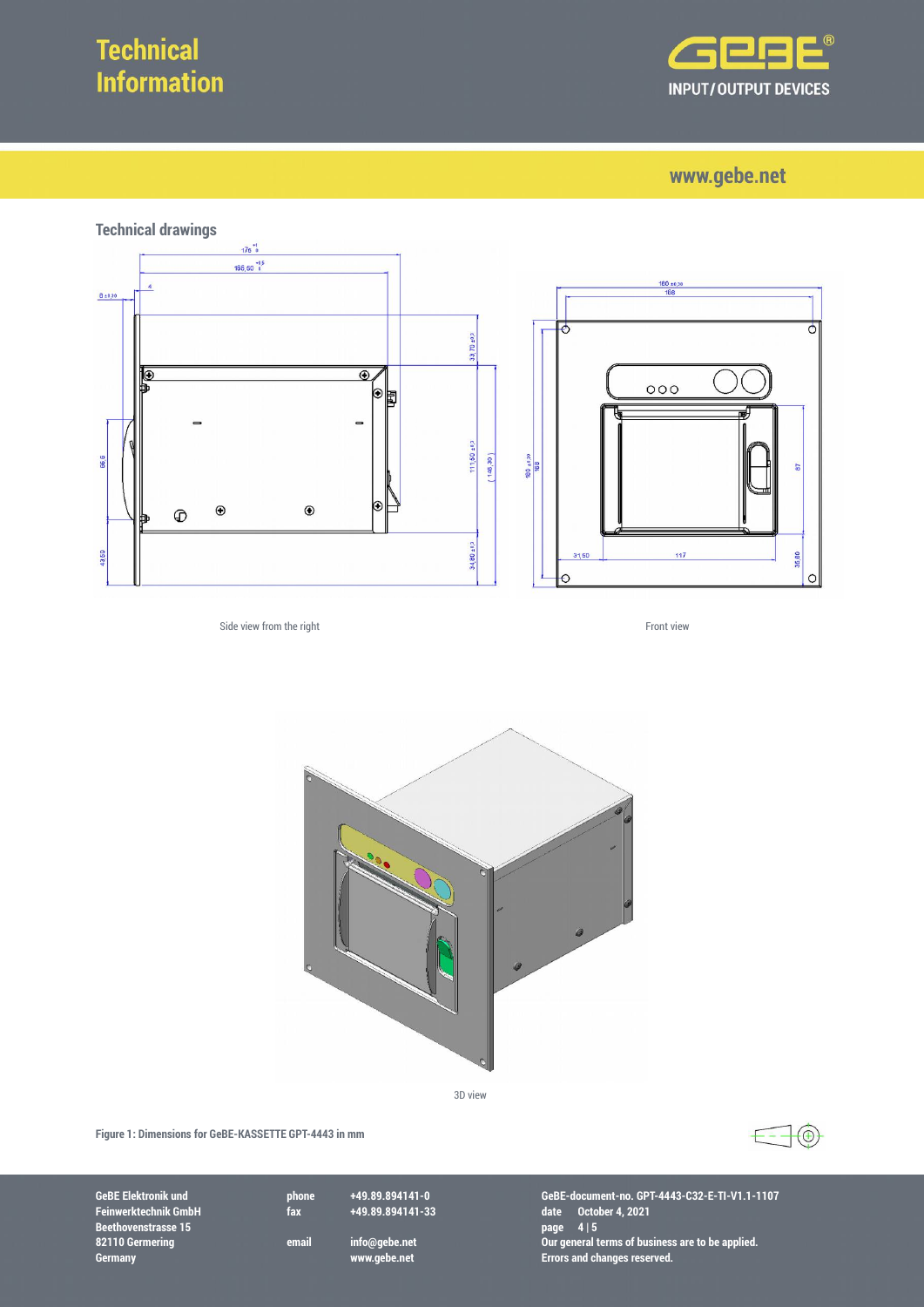

www.gebe.net



Side view from the right Front view



3D view

**Figure 1: Dimensions for GeBE-KASSETTE GPT-4443 in mm**



**Feinwerktechnik GmbH fax +49.89.894141-33 date October 4, 2021 BEE Elektronik und**<br> **Beethovenstrasse 15**<br> **Beethovenstrasse 15**<br> **Beethovenstrasse 15**<br> **Beethovenstrasse 15**<br> **Beethovenstrasse 15**<br> **Beethovenstrasse 15**<br> **Beethovenstrasse 15**<br> **Beethovenstrasse 15**<br> **Beethovenstrass** 

**GeBE Elektronik und phone +49.89.894141-0 GeBE-document-no. GPT-4443-C32-E-TI-V1.1-1107 82110 Germering email info@gebe.net Our general terms of business are to be applied. Germany www.gebe.net Errors and changes reserved.**